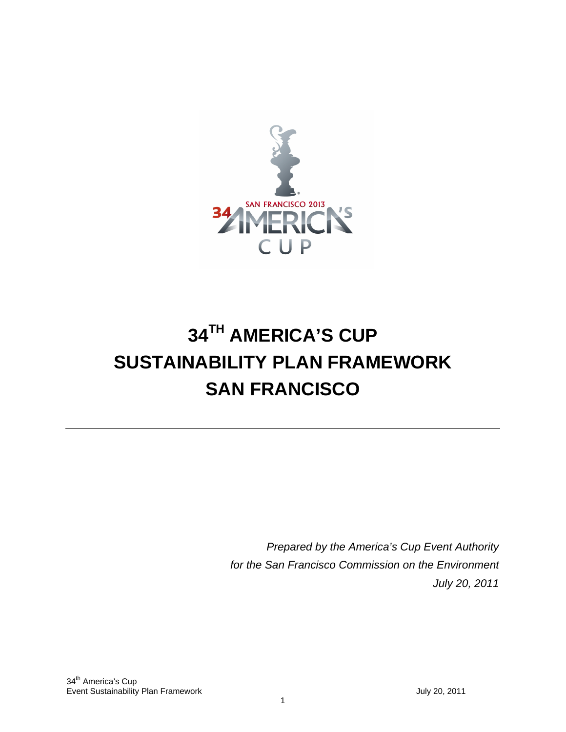

# **34TH AMERICA'S CUP SUSTAINABILITY PLAN FRAMEWORK SAN FRANCISCO**

*Prepared by the America's Cup Event Authority for the San Francisco Commission on the Environment July 20, 2011*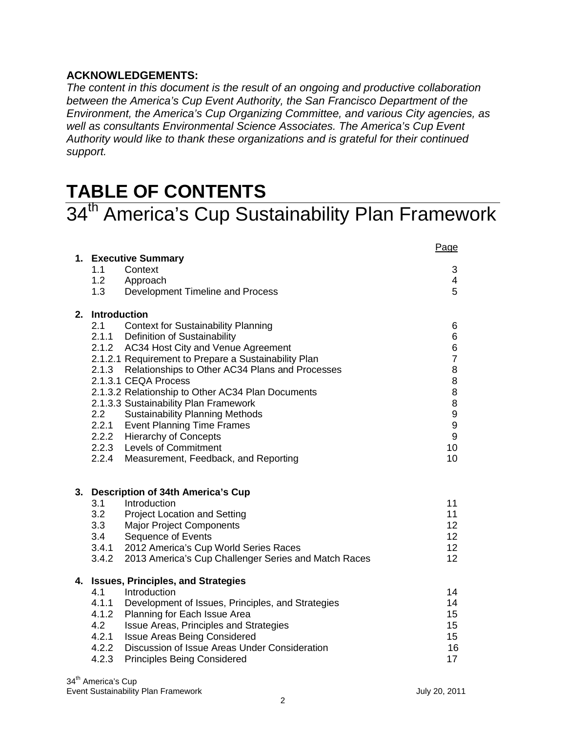#### **ACKNOWLEDGEMENTS:**

*The content in this document is the result of an ongoing and productive collaboration between the America's Cup Event Authority, the San Francisco Department of the Environment, the America's Cup Organizing Committee, and various City agencies, as well as consultants Environmental Science Associates. The America's Cup Event Authority would like to thank these organizations and is grateful for their continued support.* 

## **TABLE OF CONTENTS**

## 34<sup>th</sup> America's Cup Sustainability Plan Framework

|    | 1. Executive Summary                                                             | Page                    |
|----|----------------------------------------------------------------------------------|-------------------------|
|    | 1.1<br>Context                                                                   | 3                       |
|    | 1.2<br>Approach                                                                  | $\overline{\mathbf{4}}$ |
|    | 1.3<br>Development Timeline and Process                                          | 5                       |
|    |                                                                                  |                         |
|    | 2. Introduction<br>2.1                                                           |                         |
|    | <b>Context for Sustainability Planning</b><br>2.1.1 Definition of Sustainability | 6                       |
|    | 2.1.2 AC34 Host City and Venue Agreement                                         | 6                       |
|    | 2.1.2.1 Requirement to Prepare a Sustainability Plan                             | $\frac{6}{7}$           |
|    | 2.1.3 Relationships to Other AC34 Plans and Processes                            | $\,8\,$                 |
|    | 2.1.3.1 CEQA Process                                                             | 8                       |
|    | 2.1.3.2 Relationship to Other AC34 Plan Documents                                | $\bf 8$                 |
|    | 2.1.3.3 Sustainability Plan Framework                                            | $\,8\,$                 |
|    | 2.2<br><b>Sustainability Planning Methods</b>                                    | $\boldsymbol{9}$        |
|    | 2.2.1 Event Planning Time Frames                                                 | $\boldsymbol{9}$        |
|    | 2.2.2 Hierarchy of Concepts                                                      | $\boldsymbol{9}$        |
|    | 2.2.3 Levels of Commitment                                                       | 10                      |
|    | 2.2.4 Measurement, Feedback, and Reporting                                       | 10                      |
|    |                                                                                  |                         |
| 3. | <b>Description of 34th America's Cup</b>                                         |                         |
|    | 3.1<br>Introduction                                                              | 11                      |
|    | 3.2<br><b>Project Location and Setting</b>                                       | 11                      |
|    | 3.3<br><b>Major Project Components</b>                                           | 12                      |
|    | 3.4<br><b>Sequence of Events</b>                                                 | 12                      |
|    | 3.4.1 2012 America's Cup World Series Races                                      | 12                      |
|    | 3.4.2<br>2013 America's Cup Challenger Series and Match Races                    | 12                      |
| 4. | <b>Issues, Principles, and Strategies</b>                                        |                         |
|    | 4.1<br>Introduction                                                              | 14                      |
|    | 4.1.1<br>Development of Issues, Principles, and Strategies                       | 14                      |
|    | 4.1.2<br>Planning for Each Issue Area                                            | 15                      |
|    | 4.2<br>Issue Areas, Principles and Strategies                                    | 15                      |
|    | 4.2.1<br><b>Issue Areas Being Considered</b>                                     | 15                      |
|    | 4.2.2 Discussion of Issue Areas Under Consideration                              | 16                      |
|    | 4.2.3<br><b>Principles Being Considered</b>                                      | 17                      |
|    |                                                                                  |                         |

34<sup>th</sup> America's Cup Event Sustainability Plan Framework July 20, 2011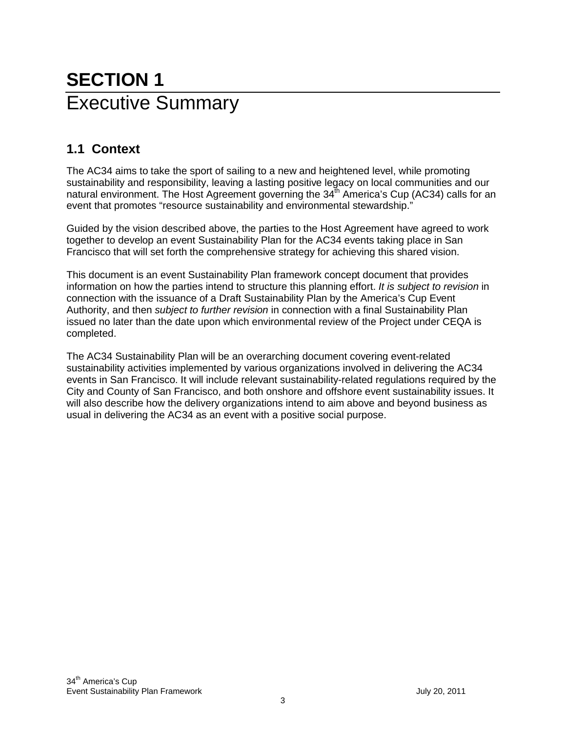## **SECTION 1** Executive Summary

## **1.1 Context**

The AC34 aims to take the sport of sailing to a new and heightened level, while promoting sustainability and responsibility, leaving a lasting positive legacy on local communities and our natural environment. The Host Agreement governing the  $34<sup>th</sup>$  America's Cup (AC34) calls for an event that promotes "resource sustainability and environmental stewardship."

Guided by the vision described above, the parties to the Host Agreement have agreed to work together to develop an event Sustainability Plan for the AC34 events taking place in San Francisco that will set forth the comprehensive strategy for achieving this shared vision.

This document is an event Sustainability Plan framework concept document that provides information on how the parties intend to structure this planning effort. *It is subject to revision* in connection with the issuance of a Draft Sustainability Plan by the America's Cup Event Authority, and then *subject to further revision* in connection with a final Sustainability Plan issued no later than the date upon which environmental review of the Project under CEQA is completed.

The AC34 Sustainability Plan will be an overarching document covering event-related sustainability activities implemented by various organizations involved in delivering the AC34 events in San Francisco. It will include relevant sustainability-related regulations required by the City and County of San Francisco, and both onshore and offshore event sustainability issues. It will also describe how the delivery organizations intend to aim above and beyond business as usual in delivering the AC34 as an event with a positive social purpose.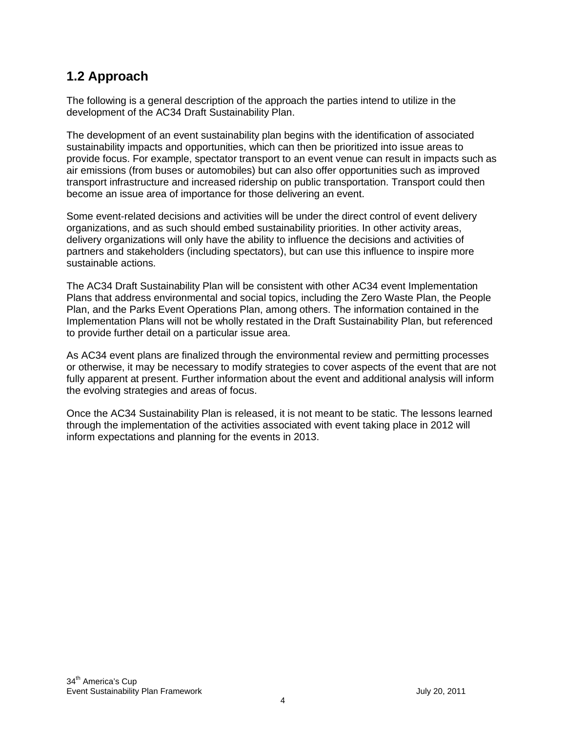### **1.2 Approach**

The following is a general description of the approach the parties intend to utilize in the development of the AC34 Draft Sustainability Plan.

The development of an event sustainability plan begins with the identification of associated sustainability impacts and opportunities, which can then be prioritized into issue areas to provide focus. For example, spectator transport to an event venue can result in impacts such as air emissions (from buses or automobiles) but can also offer opportunities such as improved transport infrastructure and increased ridership on public transportation. Transport could then become an issue area of importance for those delivering an event.

Some event-related decisions and activities will be under the direct control of event delivery organizations, and as such should embed sustainability priorities. In other activity areas, delivery organizations will only have the ability to influence the decisions and activities of partners and stakeholders (including spectators), but can use this influence to inspire more sustainable actions.

The AC34 Draft Sustainability Plan will be consistent with other AC34 event Implementation Plans that address environmental and social topics, including the Zero Waste Plan, the People Plan, and the Parks Event Operations Plan, among others. The information contained in the Implementation Plans will not be wholly restated in the Draft Sustainability Plan, but referenced to provide further detail on a particular issue area.

As AC34 event plans are finalized through the environmental review and permitting processes or otherwise, it may be necessary to modify strategies to cover aspects of the event that are not fully apparent at present. Further information about the event and additional analysis will inform the evolving strategies and areas of focus.

Once the AC34 Sustainability Plan is released, it is not meant to be static. The lessons learned through the implementation of the activities associated with event taking place in 2012 will inform expectations and planning for the events in 2013.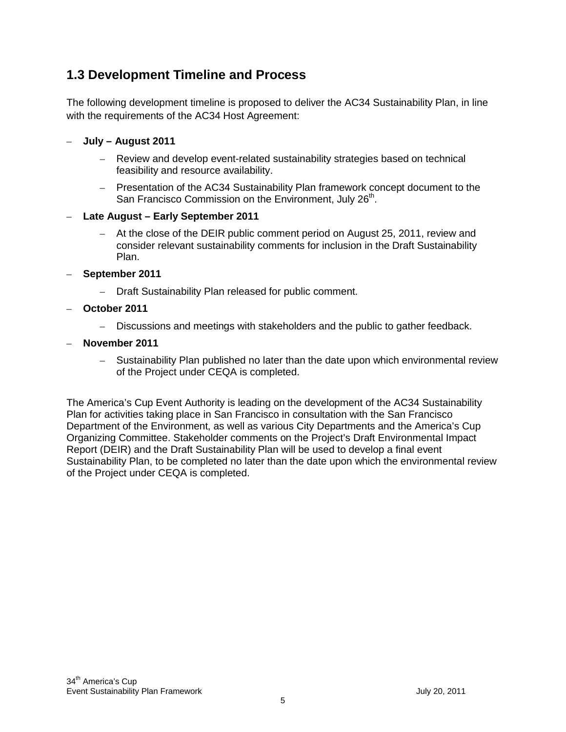### **1.3 Development Timeline and Process**

The following development timeline is proposed to deliver the AC34 Sustainability Plan, in line with the requirements of the AC34 Host Agreement:

- **July August 2011**
	- Review and develop event-related sustainability strategies based on technical feasibility and resource availability.
	- Presentation of the AC34 Sustainability Plan framework concept document to the San Francisco Commission on the Environment, July 26<sup>th</sup>.
- **Late August Early September 2011**
	- At the close of the DEIR public comment period on August 25, 2011, review and consider relevant sustainability comments for inclusion in the Draft Sustainability Plan.
- **September 2011**
	- Draft Sustainability Plan released for public comment.
- **October 2011**
	- Discussions and meetings with stakeholders and the public to gather feedback.
- **November 2011**
	- Sustainability Plan published no later than the date upon which environmental review of the Project under CEQA is completed.

The America's Cup Event Authority is leading on the development of the AC34 Sustainability Plan for activities taking place in San Francisco in consultation with the San Francisco Department of the Environment, as well as various City Departments and the America's Cup Organizing Committee. Stakeholder comments on the Project's Draft Environmental Impact Report (DEIR) and the Draft Sustainability Plan will be used to develop a final event Sustainability Plan, to be completed no later than the date upon which the environmental review of the Project under CEQA is completed.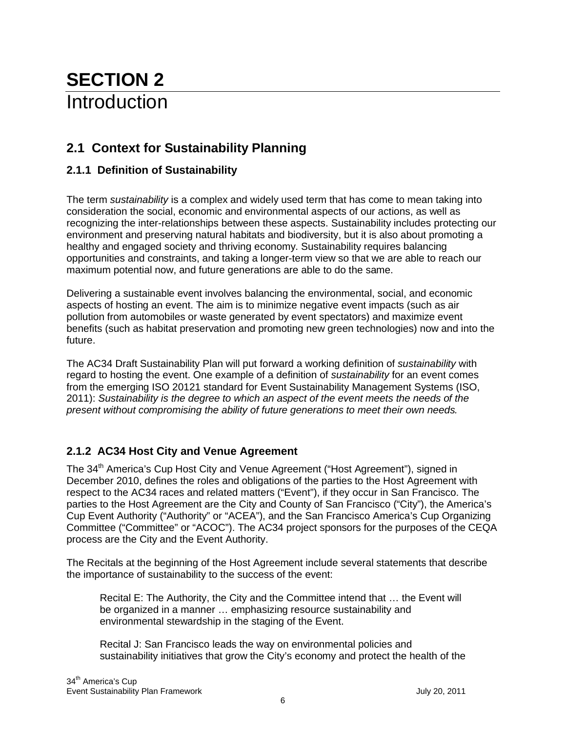## **SECTION 2** Introduction

## **2.1 Context for Sustainability Planning**

#### **2.1.1 Definition of Sustainability**

The term *sustainability* is a complex and widely used term that has come to mean taking into consideration the social, economic and environmental aspects of our actions, as well as recognizing the inter-relationships between these aspects. Sustainability includes protecting our environment and preserving natural habitats and biodiversity, but it is also about promoting a healthy and engaged society and thriving economy. Sustainability requires balancing opportunities and constraints, and taking a longer-term view so that we are able to reach our maximum potential now, and future generations are able to do the same.

Delivering a sustainable event involves balancing the environmental, social, and economic aspects of hosting an event. The aim is to minimize negative event impacts (such as air pollution from automobiles or waste generated by event spectators) and maximize event benefits (such as habitat preservation and promoting new green technologies) now and into the future.

The AC34 Draft Sustainability Plan will put forward a working definition of *sustainability* with regard to hosting the event. One example of a definition of *sustainability* for an event comes from the emerging ISO 20121 standard for Event Sustainability Management Systems (ISO, 2011): *Sustainability is the degree to which an aspect of the event meets the needs of the present without compromising the ability of future generations to meet their own needs.*

#### **2.1.2 AC34 Host City and Venue Agreement**

The 34<sup>th</sup> America's Cup Host City and Venue Agreement ("Host Agreement"), signed in December 2010, defines the roles and obligations of the parties to the Host Agreement with respect to the AC34 races and related matters ("Event"), if they occur in San Francisco. The parties to the Host Agreement are the City and County of San Francisco ("City"), the America's Cup Event Authority ("Authority" or "ACEA"), and the San Francisco America's Cup Organizing Committee ("Committee" or "ACOC"). The AC34 project sponsors for the purposes of the CEQA process are the City and the Event Authority.

The Recitals at the beginning of the Host Agreement include several statements that describe the importance of sustainability to the success of the event:

Recital E: The Authority, the City and the Committee intend that … the Event will be organized in a manner … emphasizing resource sustainability and environmental stewardship in the staging of the Event.

Recital J: San Francisco leads the way on environmental policies and sustainability initiatives that grow the City's economy and protect the health of the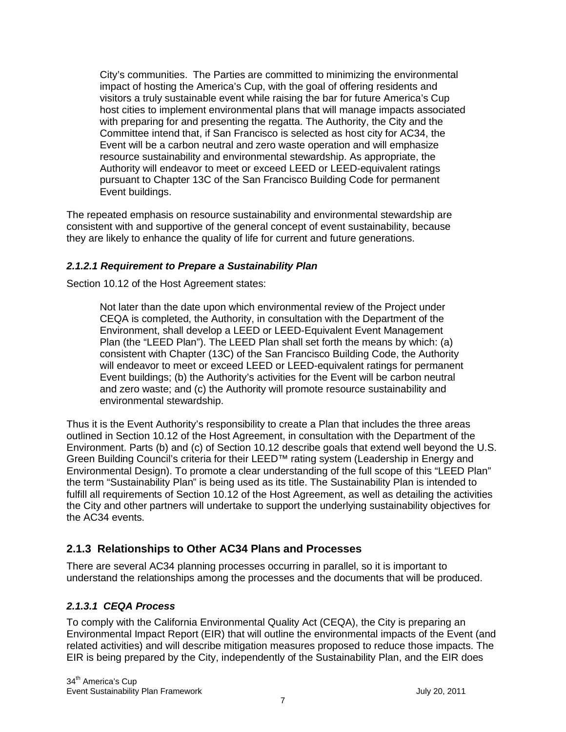City's communities. The Parties are committed to minimizing the environmental impact of hosting the America's Cup, with the goal of offering residents and visitors a truly sustainable event while raising the bar for future America's Cup host cities to implement environmental plans that will manage impacts associated with preparing for and presenting the regatta. The Authority, the City and the Committee intend that, if San Francisco is selected as host city for AC34, the Event will be a carbon neutral and zero waste operation and will emphasize resource sustainability and environmental stewardship. As appropriate, the Authority will endeavor to meet or exceed LEED or LEED-equivalent ratings pursuant to Chapter 13C of the San Francisco Building Code for permanent Event buildings.

The repeated emphasis on resource sustainability and environmental stewardship are consistent with and supportive of the general concept of event sustainability, because they are likely to enhance the quality of life for current and future generations.

#### *2.1.2.1 Requirement to Prepare a Sustainability Plan*

Section 10.12 of the Host Agreement states:

Not later than the date upon which environmental review of the Project under CEQA is completed, the Authority, in consultation with the Department of the Environment, shall develop a LEED or LEED-Equivalent Event Management Plan (the "LEED Plan"). The LEED Plan shall set forth the means by which: (a) consistent with Chapter (13C) of the San Francisco Building Code, the Authority will endeavor to meet or exceed LEED or LEED-equivalent ratings for permanent Event buildings; (b) the Authority's activities for the Event will be carbon neutral and zero waste; and (c) the Authority will promote resource sustainability and environmental stewardship.

Thus it is the Event Authority's responsibility to create a Plan that includes the three areas outlined in Section 10.12 of the Host Agreement, in consultation with the Department of the Environment. Parts (b) and (c) of Section 10.12 describe goals that extend well beyond the U.S. Green Building Council's criteria for their LEED™ rating system (Leadership in Energy and Environmental Design). To promote a clear understanding of the full scope of this "LEED Plan" the term "Sustainability Plan" is being used as its title. The Sustainability Plan is intended to fulfill all requirements of Section 10.12 of the Host Agreement, as well as detailing the activities the City and other partners will undertake to support the underlying sustainability objectives for the AC34 events.

#### **2.1.3 Relationships to Other AC34 Plans and Processes**

There are several AC34 planning processes occurring in parallel, so it is important to understand the relationships among the processes and the documents that will be produced.

#### *2.1.3.1 CEQA Process*

To comply with the California Environmental Quality Act (CEQA), the City is preparing an Environmental Impact Report (EIR) that will outline the environmental impacts of the Event (and related activities) and will describe mitigation measures proposed to reduce those impacts. The EIR is being prepared by the City, independently of the Sustainability Plan, and the EIR does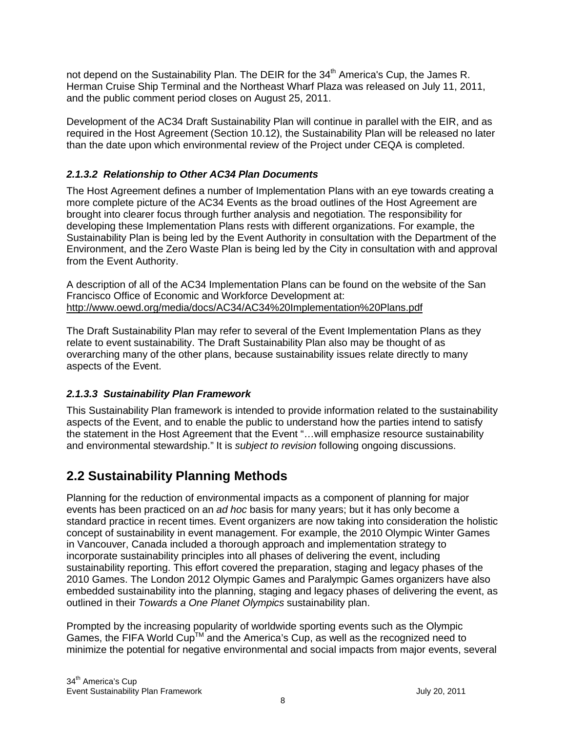not depend on the Sustainability Plan. The DEIR for the 34<sup>th</sup> America's Cup, the James R. Herman Cruise Ship Terminal and the Northeast Wharf Plaza was released on July 11, 2011, and the public comment period closes on August 25, 2011.

Development of the AC34 Draft Sustainability Plan will continue in parallel with the EIR, and as required in the Host Agreement (Section 10.12), the Sustainability Plan will be released no later than the date upon which environmental review of the Project under CEQA is completed.

#### *2.1.3.2 Relationship to Other AC34 Plan Documents*

The Host Agreement defines a number of Implementation Plans with an eye towards creating a more complete picture of the AC34 Events as the broad outlines of the Host Agreement are brought into clearer focus through further analysis and negotiation. The responsibility for developing these Implementation Plans rests with different organizations. For example, the Sustainability Plan is being led by the Event Authority in consultation with the Department of the Environment, and the Zero Waste Plan is being led by the City in consultation with and approval from the Event Authority.

A description of all of the AC34 Implementation Plans can be found on the website of the San Francisco Office of Economic and Workforce Development at: http://www.oewd.org/media/docs/AC34/AC34%20Implementation%20Plans.pdf

The Draft Sustainability Plan may refer to several of the Event Implementation Plans as they relate to event sustainability. The Draft Sustainability Plan also may be thought of as overarching many of the other plans, because sustainability issues relate directly to many aspects of the Event.

#### *2.1.3.3 Sustainability Plan Framework*

This Sustainability Plan framework is intended to provide information related to the sustainability aspects of the Event, and to enable the public to understand how the parties intend to satisfy the statement in the Host Agreement that the Event "…will emphasize resource sustainability and environmental stewardship." It is *subject to revision* following ongoing discussions.

### **2.2 Sustainability Planning Methods**

Planning for the reduction of environmental impacts as a component of planning for major events has been practiced on an *ad hoc* basis for many years; but it has only become a standard practice in recent times. Event organizers are now taking into consideration the holistic concept of sustainability in event management. For example, the 2010 Olympic Winter Games in Vancouver, Canada included a thorough approach and implementation strategy to incorporate sustainability principles into all phases of delivering the event, including sustainability reporting. This effort covered the preparation, staging and legacy phases of the 2010 Games. The London 2012 Olympic Games and Paralympic Games organizers have also embedded sustainability into the planning, staging and legacy phases of delivering the event, as outlined in their *Towards a One Planet Olympics* sustainability plan.

Prompted by the increasing popularity of worldwide sporting events such as the Olympic Games, the FIFA World Cup<sup>TM</sup> and the America's Cup, as well as the recognized need to minimize the potential for negative environmental and social impacts from major events, several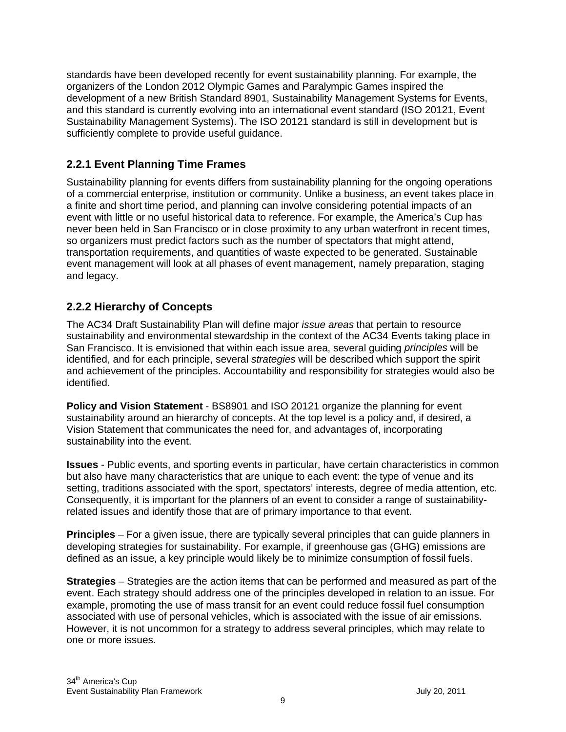standards have been developed recently for event sustainability planning. For example, the organizers of the London 2012 Olympic Games and Paralympic Games inspired the development of a new British Standard 8901, Sustainability Management Systems for Events, and this standard is currently evolving into an international event standard (ISO 20121, Event Sustainability Management Systems). The ISO 20121 standard is still in development but is sufficiently complete to provide useful guidance.

#### **2.2.1 Event Planning Time Frames**

Sustainability planning for events differs from sustainability planning for the ongoing operations of a commercial enterprise, institution or community. Unlike a business, an event takes place in a finite and short time period, and planning can involve considering potential impacts of an event with little or no useful historical data to reference. For example, the America's Cup has never been held in San Francisco or in close proximity to any urban waterfront in recent times, so organizers must predict factors such as the number of spectators that might attend, transportation requirements, and quantities of waste expected to be generated. Sustainable event management will look at all phases of event management, namely preparation, staging and legacy.

#### **2.2.2 Hierarchy of Concepts**

The AC34 Draft Sustainability Plan will define major *issue areas* that pertain to resource sustainability and environmental stewardship in the context of the AC34 Events taking place in San Francisco. It is envisioned that within each issue area, several guiding *principles* will be identified, and for each principle, several *strategies* will be described which support the spirit and achievement of the principles. Accountability and responsibility for strategies would also be identified.

**Policy and Vision Statement** - BS8901 and ISO 20121 organize the planning for event sustainability around an hierarchy of concepts. At the top level is a policy and, if desired, a Vision Statement that communicates the need for, and advantages of, incorporating sustainability into the event.

**Issues** - Public events, and sporting events in particular, have certain characteristics in common but also have many characteristics that are unique to each event: the type of venue and its setting, traditions associated with the sport, spectators' interests, degree of media attention, etc. Consequently, it is important for the planners of an event to consider a range of sustainabilityrelated issues and identify those that are of primary importance to that event.

**Principles** – For a given issue, there are typically several principles that can guide planners in developing strategies for sustainability. For example, if greenhouse gas (GHG) emissions are defined as an issue, a key principle would likely be to minimize consumption of fossil fuels.

**Strategies** – Strategies are the action items that can be performed and measured as part of the event. Each strategy should address one of the principles developed in relation to an issue. For example, promoting the use of mass transit for an event could reduce fossil fuel consumption associated with use of personal vehicles, which is associated with the issue of air emissions. However, it is not uncommon for a strategy to address several principles, which may relate to one or more issues.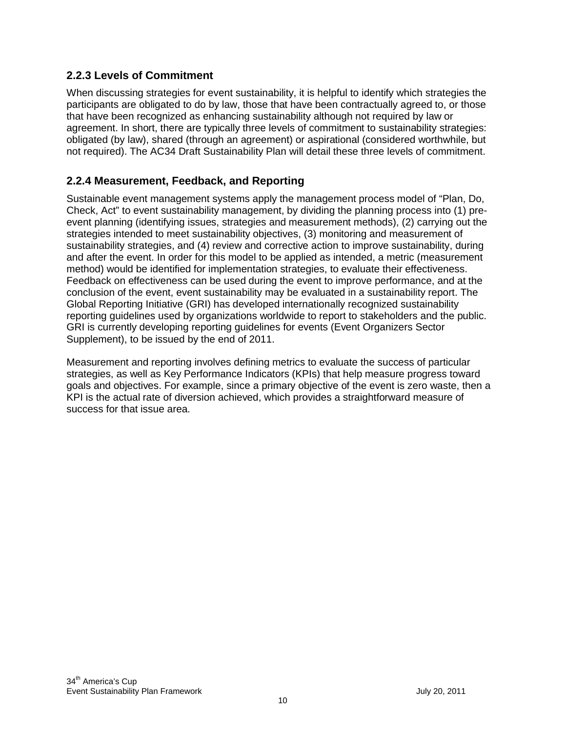#### **2.2.3 Levels of Commitment**

When discussing strategies for event sustainability, it is helpful to identify which strategies the participants are obligated to do by law, those that have been contractually agreed to, or those that have been recognized as enhancing sustainability although not required by law or agreement. In short, there are typically three levels of commitment to sustainability strategies: obligated (by law), shared (through an agreement) or aspirational (considered worthwhile, but not required). The AC34 Draft Sustainability Plan will detail these three levels of commitment.

#### **2.2.4 Measurement, Feedback, and Reporting**

Sustainable event management systems apply the management process model of "Plan, Do, Check, Act" to event sustainability management, by dividing the planning process into (1) preevent planning (identifying issues, strategies and measurement methods), (2) carrying out the strategies intended to meet sustainability objectives, (3) monitoring and measurement of sustainability strategies, and (4) review and corrective action to improve sustainability, during and after the event. In order for this model to be applied as intended, a metric (measurement method) would be identified for implementation strategies, to evaluate their effectiveness. Feedback on effectiveness can be used during the event to improve performance, and at the conclusion of the event, event sustainability may be evaluated in a sustainability report. The Global Reporting Initiative (GRI) has developed internationally recognized sustainability reporting guidelines used by organizations worldwide to report to stakeholders and the public. GRI is currently developing reporting guidelines for events (Event Organizers Sector Supplement), to be issued by the end of 2011.

Measurement and reporting involves defining metrics to evaluate the success of particular strategies, as well as Key Performance Indicators (KPIs) that help measure progress toward goals and objectives. For example, since a primary objective of the event is zero waste, then a KPI is the actual rate of diversion achieved, which provides a straightforward measure of success for that issue area.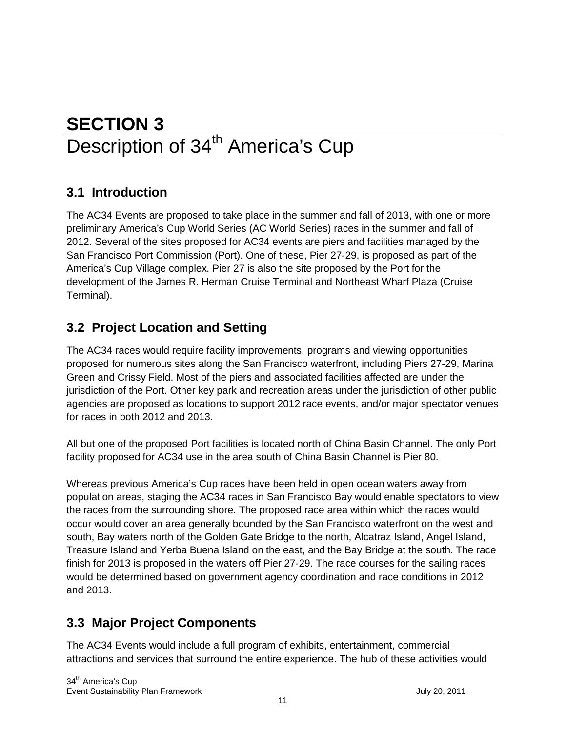## **SECTION 3** Description of 34<sup>th</sup> America's Cup

## **3.1 Introduction**

The AC34 Events are proposed to take place in the summer and fall of 2013, with one or more preliminary America's Cup World Series (AC World Series) races in the summer and fall of 2012. Several of the sites proposed for AC34 events are piers and facilities managed by the San Francisco Port Commission (Port). One of these, Pier 27‐29, is proposed as part of the America's Cup Village complex. Pier 27 is also the site proposed by the Port for the development of the James R. Herman Cruise Terminal and Northeast Wharf Plaza (Cruise Terminal).

## **3.2 Project Location and Setting**

The AC34 races would require facility improvements, programs and viewing opportunities proposed for numerous sites along the San Francisco waterfront, including Piers 27-29, Marina Green and Crissy Field. Most of the piers and associated facilities affected are under the jurisdiction of the Port. Other key park and recreation areas under the jurisdiction of other public agencies are proposed as locations to support 2012 race events, and/or major spectator venues for races in both 2012 and 2013.

All but one of the proposed Port facilities is located north of China Basin Channel. The only Port facility proposed for AC34 use in the area south of China Basin Channel is Pier 80.

Whereas previous America's Cup races have been held in open ocean waters away from population areas, staging the AC34 races in San Francisco Bay would enable spectators to view the races from the surrounding shore. The proposed race area within which the races would occur would cover an area generally bounded by the San Francisco waterfront on the west and south, Bay waters north of the Golden Gate Bridge to the north, Alcatraz Island, Angel Island, Treasure Island and Yerba Buena Island on the east, and the Bay Bridge at the south. The race finish for 2013 is proposed in the waters off Pier 27‐29. The race courses for the sailing races would be determined based on government agency coordination and race conditions in 2012 and 2013.

### **3.3 Major Project Components**

The AC34 Events would include a full program of exhibits, entertainment, commercial attractions and services that surround the entire experience. The hub of these activities would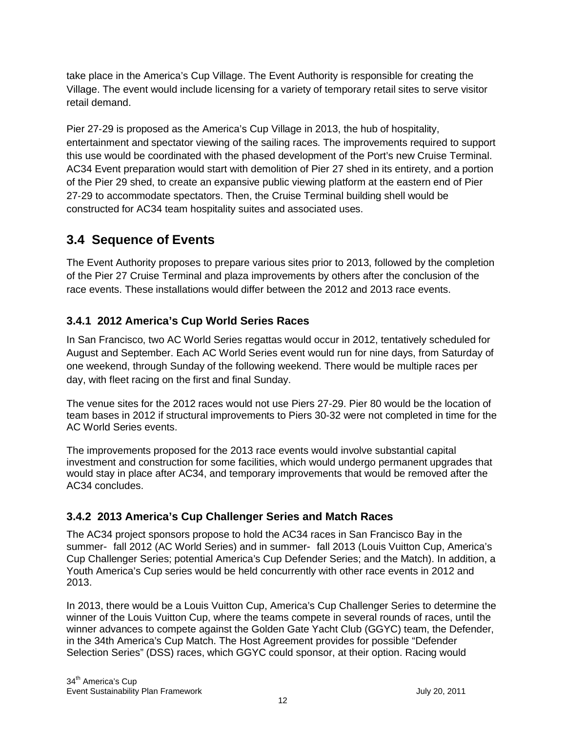take place in the America's Cup Village. The Event Authority is responsible for creating the Village. The event would include licensing for a variety of temporary retail sites to serve visitor retail demand.

Pier 27‐29 is proposed as the America's Cup Village in 2013, the hub of hospitality, entertainment and spectator viewing of the sailing races. The improvements required to support this use would be coordinated with the phased development of the Port's new Cruise Terminal. AC34 Event preparation would start with demolition of Pier 27 shed in its entirety, and a portion of the Pier 29 shed, to create an expansive public viewing platform at the eastern end of Pier 27‐29 to accommodate spectators. Then, the Cruise Terminal building shell would be constructed for AC34 team hospitality suites and associated uses.

### **3.4 Sequence of Events**

The Event Authority proposes to prepare various sites prior to 2013, followed by the completion of the Pier 27 Cruise Terminal and plaza improvements by others after the conclusion of the race events. These installations would differ between the 2012 and 2013 race events.

#### **3.4.1 2012 America's Cup World Series Races**

In San Francisco, two AC World Series regattas would occur in 2012, tentatively scheduled for August and September. Each AC World Series event would run for nine days, from Saturday of one weekend, through Sunday of the following weekend. There would be multiple races per day, with fleet racing on the first and final Sunday.

The venue sites for the 2012 races would not use Piers 27-29. Pier 80 would be the location of team bases in 2012 if structural improvements to Piers 30-32 were not completed in time for the AC World Series events.

The improvements proposed for the 2013 race events would involve substantial capital investment and construction for some facilities, which would undergo permanent upgrades that would stay in place after AC34, and temporary improvements that would be removed after the AC34 concludes.

#### **3.4.2 2013 America's Cup Challenger Series and Match Races**

The AC34 project sponsors propose to hold the AC34 races in San Francisco Bay in the summer fall 2012 (AC World Series) and in summer fall 2013 (Louis Vuitton Cup, America's Cup Challenger Series; potential America's Cup Defender Series; and the Match). In addition, a Youth America's Cup series would be held concurrently with other race events in 2012 and 2013.

In 2013, there would be a Louis Vuitton Cup, America's Cup Challenger Series to determine the winner of the Louis Vuitton Cup, where the teams compete in several rounds of races, until the winner advances to compete against the Golden Gate Yacht Club (GGYC) team, the Defender, in the 34th America's Cup Match. The Host Agreement provides for possible "Defender Selection Series" (DSS) races, which GGYC could sponsor, at their option. Racing would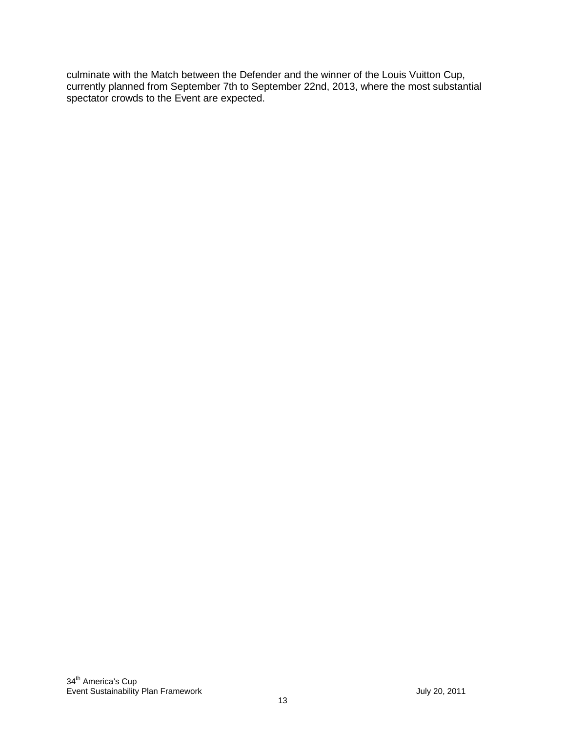culminate with the Match between the Defender and the winner of the Louis Vuitton Cup, currently planned from September 7th to September 22nd, 2013, where the most substantial spectator crowds to the Event are expected.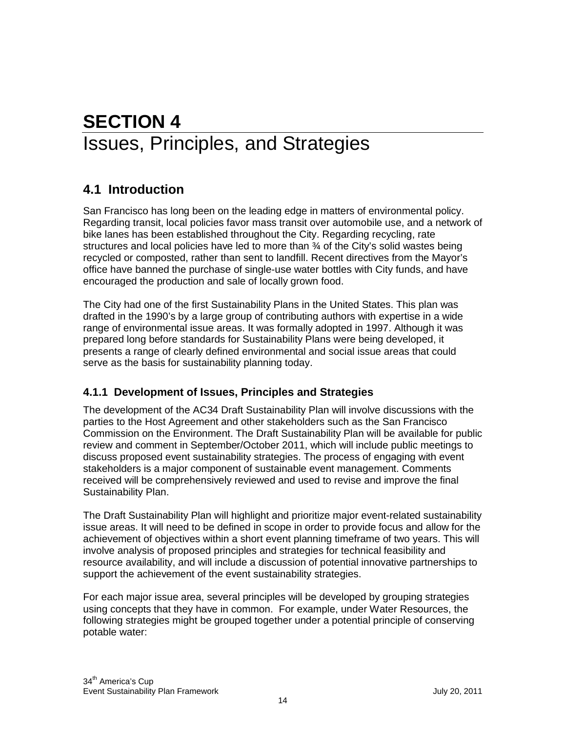## **SECTION 4** Issues, Principles, and Strategies

## **4.1 Introduction**

San Francisco has long been on the leading edge in matters of environmental policy. Regarding transit, local policies favor mass transit over automobile use, and a network of bike lanes has been established throughout the City. Regarding recycling, rate structures and local policies have led to more than ¾ of the City's solid wastes being recycled or composted, rather than sent to landfill. Recent directives from the Mayor's office have banned the purchase of single-use water bottles with City funds, and have encouraged the production and sale of locally grown food.

The City had one of the first Sustainability Plans in the United States. This plan was drafted in the 1990's by a large group of contributing authors with expertise in a wide range of environmental issue areas. It was formally adopted in 1997. Although it was prepared long before standards for Sustainability Plans were being developed, it presents a range of clearly defined environmental and social issue areas that could serve as the basis for sustainability planning today.

#### **4.1.1 Development of Issues, Principles and Strategies**

The development of the AC34 Draft Sustainability Plan will involve discussions with the parties to the Host Agreement and other stakeholders such as the San Francisco Commission on the Environment. The Draft Sustainability Plan will be available for public review and comment in September/October 2011, which will include public meetings to discuss proposed event sustainability strategies. The process of engaging with event stakeholders is a major component of sustainable event management. Comments received will be comprehensively reviewed and used to revise and improve the final Sustainability Plan.

The Draft Sustainability Plan will highlight and prioritize major event-related sustainability issue areas. It will need to be defined in scope in order to provide focus and allow for the achievement of objectives within a short event planning timeframe of two years. This will involve analysis of proposed principles and strategies for technical feasibility and resource availability, and will include a discussion of potential innovative partnerships to support the achievement of the event sustainability strategies.

For each major issue area, several principles will be developed by grouping strategies using concepts that they have in common. For example, under Water Resources, the following strategies might be grouped together under a potential principle of conserving potable water: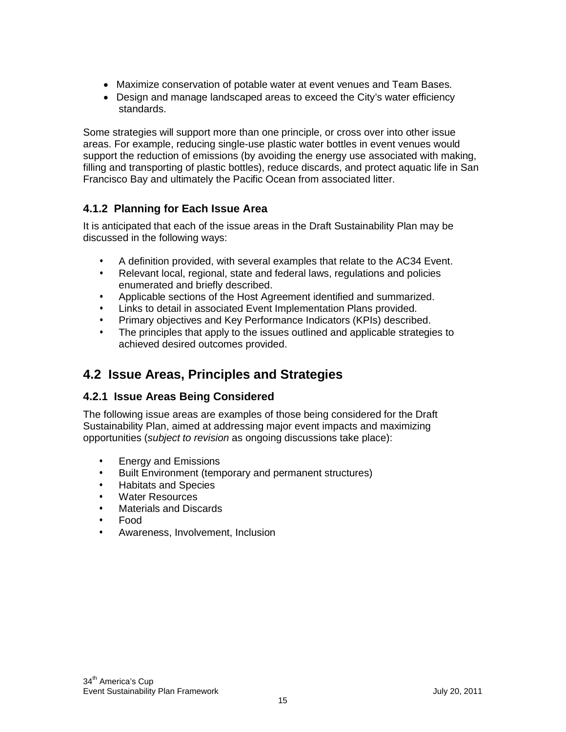- Maximize conservation of potable water at event venues and Team Bases.
- Design and manage landscaped areas to exceed the City's water efficiency standards.

Some strategies will support more than one principle, or cross over into other issue areas. For example, reducing single-use plastic water bottles in event venues would support the reduction of emissions (by avoiding the energy use associated with making, filling and transporting of plastic bottles), reduce discards, and protect aquatic life in San Francisco Bay and ultimately the Pacific Ocean from associated litter.

#### **4.1.2 Planning for Each Issue Area**

It is anticipated that each of the issue areas in the Draft Sustainability Plan may be discussed in the following ways:

- A definition provided, with several examples that relate to the AC34 Event.
- Relevant local, regional, state and federal laws, regulations and policies enumerated and briefly described.
- Applicable sections of the Host Agreement identified and summarized.
- Links to detail in associated Event Implementation Plans provided.
- Primary objectives and Key Performance Indicators (KPIs) described.
- The principles that apply to the issues outlined and applicable strategies to achieved desired outcomes provided.

### **4.2 Issue Areas, Principles and Strategies**

#### **4.2.1 Issue Areas Being Considered**

The following issue areas are examples of those being considered for the Draft Sustainability Plan, aimed at addressing major event impacts and maximizing opportunities (*subject to revision* as ongoing discussions take place):

- Energy and Emissions
- Built Environment (temporary and permanent structures)
- Habitats and Species
- Water Resources
- Materials and Discards
- Food
- Awareness, Involvement, Inclusion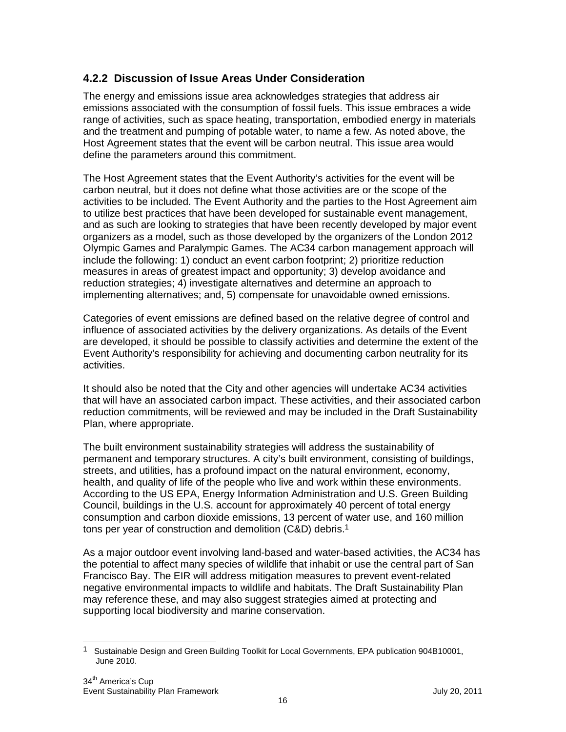#### **4.2.2 Discussion of Issue Areas Under Consideration**

The energy and emissions issue area acknowledges strategies that address air emissions associated with the consumption of fossil fuels. This issue embraces a wide range of activities, such as space heating, transportation, embodied energy in materials and the treatment and pumping of potable water, to name a few. As noted above, the Host Agreement states that the event will be carbon neutral. This issue area would define the parameters around this commitment.

The Host Agreement states that the Event Authority's activities for the event will be carbon neutral, but it does not define what those activities are or the scope of the activities to be included. The Event Authority and the parties to the Host Agreement aim to utilize best practices that have been developed for sustainable event management, and as such are looking to strategies that have been recently developed by major event organizers as a model, such as those developed by the organizers of the London 2012 Olympic Games and Paralympic Games. The AC34 carbon management approach will include the following: 1) conduct an event carbon footprint; 2) prioritize reduction measures in areas of greatest impact and opportunity; 3) develop avoidance and reduction strategies; 4) investigate alternatives and determine an approach to implementing alternatives; and, 5) compensate for unavoidable owned emissions.

Categories of event emissions are defined based on the relative degree of control and influence of associated activities by the delivery organizations. As details of the Event are developed, it should be possible to classify activities and determine the extent of the Event Authority's responsibility for achieving and documenting carbon neutrality for its activities.

It should also be noted that the City and other agencies will undertake AC34 activities that will have an associated carbon impact. These activities, and their associated carbon reduction commitments, will be reviewed and may be included in the Draft Sustainability Plan, where appropriate.

The built environment sustainability strategies will address the sustainability of permanent and temporary structures. A city's built environment, consisting of buildings, streets, and utilities, has a profound impact on the natural environment, economy, health, and quality of life of the people who live and work within these environments. According to the US EPA, Energy Information Administration and U.S. Green Building Council, buildings in the U.S. account for approximately 40 percent of total energy consumption and carbon dioxide emissions, 13 percent of water use, and 160 million tons per year of construction and demolition (C&D) debris.<sup>1</sup>

As a major outdoor event involving land-based and water-based activities, the AC34 has the potential to affect many species of wildlife that inhabit or use the central part of San Francisco Bay. The EIR will address mitigation measures to prevent event-related negative environmental impacts to wildlife and habitats. The Draft Sustainability Plan may reference these, and may also suggest strategies aimed at protecting and supporting local biodiversity and marine conservation.

 $\overline{\phantom{a}}$ 1 Sustainable Design and Green Building Toolkit for Local Governments, EPA publication 904B10001, June 2010.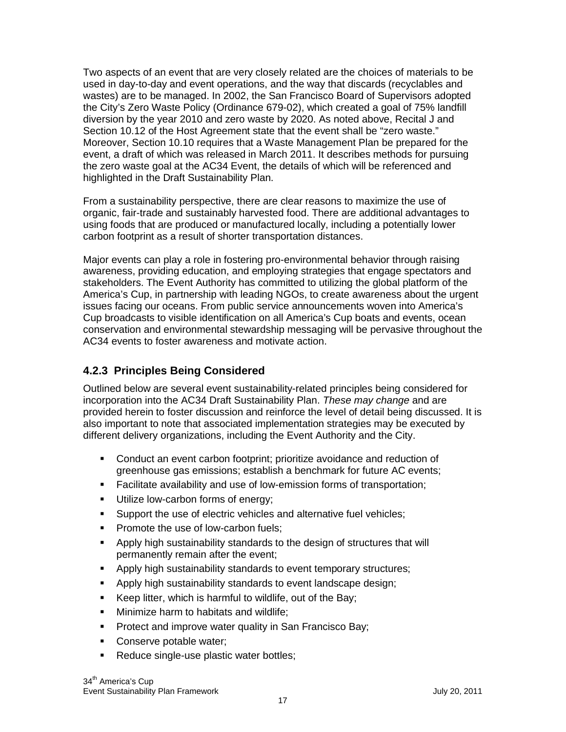Two aspects of an event that are very closely related are the choices of materials to be used in day-to-day and event operations, and the way that discards (recyclables and wastes) are to be managed. In 2002, the San Francisco Board of Supervisors adopted the City's Zero Waste Policy (Ordinance 679-02), which created a goal of 75% landfill diversion by the year 2010 and zero waste by 2020. As noted above, Recital J and Section 10.12 of the Host Agreement state that the event shall be "zero waste." Moreover, Section 10.10 requires that a Waste Management Plan be prepared for the event, a draft of which was released in March 2011. It describes methods for pursuing the zero waste goal at the AC34 Event, the details of which will be referenced and highlighted in the Draft Sustainability Plan.

From a sustainability perspective, there are clear reasons to maximize the use of organic, fair-trade and sustainably harvested food. There are additional advantages to using foods that are produced or manufactured locally, including a potentially lower carbon footprint as a result of shorter transportation distances.

Major events can play a role in fostering pro-environmental behavior through raising awareness, providing education, and employing strategies that engage spectators and stakeholders. The Event Authority has committed to utilizing the global platform of the America's Cup, in partnership with leading NGOs, to create awareness about the urgent issues facing our oceans. From public service announcements woven into America's Cup broadcasts to visible identification on all America's Cup boats and events, ocean conservation and environmental stewardship messaging will be pervasive throughout the AC34 events to foster awareness and motivate action.

#### **4.2.3 Principles Being Considered**

Outlined below are several event sustainability-related principles being considered for incorporation into the AC34 Draft Sustainability Plan. *These may change* and are provided herein to foster discussion and reinforce the level of detail being discussed. It is also important to note that associated implementation strategies may be executed by different delivery organizations, including the Event Authority and the City.

- Conduct an event carbon footprint; prioritize avoidance and reduction of greenhouse gas emissions; establish a benchmark for future AC events;
- Facilitate availability and use of low-emission forms of transportation;
- Utilize low-carbon forms of energy;
- **Support the use of electric vehicles and alternative fuel vehicles;**
- **Promote the use of low-carbon fuels;**
- Apply high sustainability standards to the design of structures that will permanently remain after the event;
- **-** Apply high sustainability standards to event temporary structures;
- Apply high sustainability standards to event landscape design;
- Keep litter, which is harmful to wildlife, out of the Bay;
- **Minimize harm to habitats and wildlife;**
- **Protect and improve water quality in San Francisco Bay;**
- Conserve potable water;
- Reduce single-use plastic water bottles;